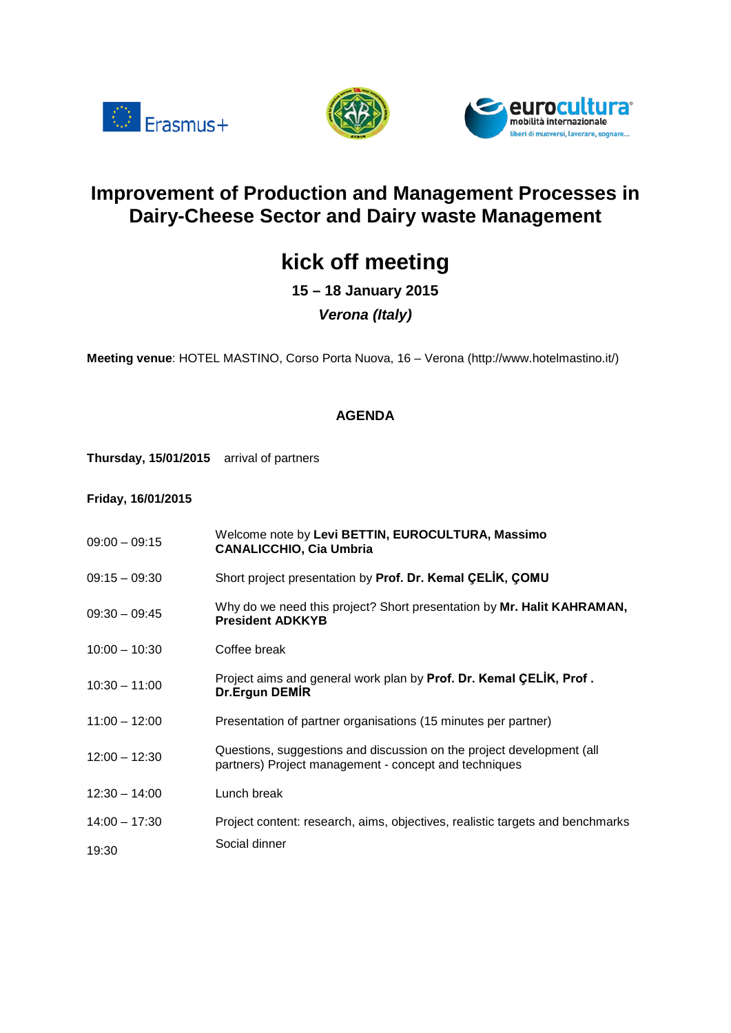





## **Improvement of Production and Management Processes in Dairy-Cheese Sector and Dairy waste Management**

# **kick off meeting**

**15 – 18 January 2015**

## *Verona (Italy)*

**Meeting venue**: HOTEL MASTINO, Corso Porta Nuova, 16 – Verona (http://www.hotelmastino.it/)

### **AGENDA**

**Thursday, 15/01/2015** arrival of partners

**Friday, 16/01/2015**

- 09:00 09:15 Welcome note by **Levi BETTIN, EUROCULTURA, Massimo CANALICCHIO, Cia Umbria**
- 09:15 09:30 Short project presentation by **Prof. Dr. Kemal ÇELİK, ÇOMU**
- 09:30 09:45 Why do we need this project? Short presentation by **Mr. Halit KAHRAMAN, President ADKKYB**
- 10:00 10:30 Coffee break
- 10:30 11:00 Project aims and general work plan by **Prof. Dr. Kemal ÇELİK, Prof . Dr.Ergun DEMİR**
- 11:00 12:00 Presentation of partner organisations (15 minutes per partner)
- 12:00 12:30 Questions, suggestions and discussion on the project development (all partners) Project management - concept and techniques
- 12:30 14:00 Lunch break
- 14:00 17:30 Project content: research, aims, objectives, realistic targets and benchmarks 19:30 Social dinner